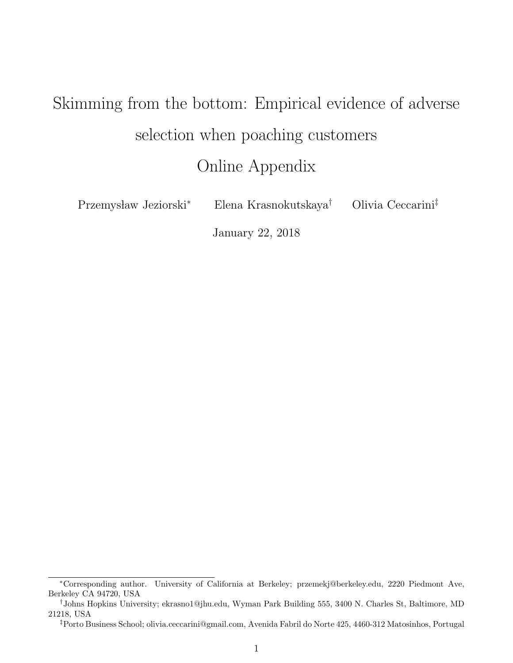# Skimming from the bottom: Empirical evidence of adverse selection when poaching customers Online Appendix

Przemysław Jeziorski $*$  Elena Krasnokutskaya $\dagger$  Olivia Ceccarini $^{\ddagger}$ 

January 22, 2018

<sup>∗</sup>Corresponding author. University of California at Berkeley; przemekj@berkeley.edu, 2220 Piedmont Ave, Berkeley CA 94720, USA

<sup>†</sup>Johns Hopkins University; ekrasno1@jhu.edu, Wyman Park Building 555, 3400 N. Charles St, Baltimore, MD 21218, USA

<sup>‡</sup>Porto Business School; olivia.ceccarini@gmail.com, Avenida Fabril do Norte 425, 4460-312 Matosinhos, Portugal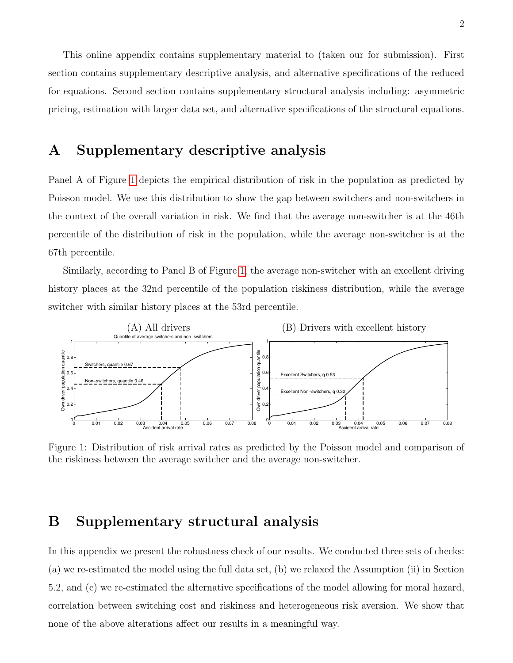This online appendix contains supplementary material to (taken our for submission). First section contains supplementary descriptive analysis, and alternative specifications of the reduced for equations. Second section contains supplementary structural analysis including: asymmetric pricing, estimation with larger data set, and alternative specifications of the structural equations.

### A Supplementary descriptive analysis

Panel A of Figure [1](#page-1-0) depicts the empirical distribution of risk in the population as predicted by Poisson model. We use this distribution to show the gap between switchers and non-switchers in the context of the overall variation in risk. We find that the average non-switcher is at the 46th percentile of the distribution of risk in the population, while the average non-switcher is at the 67th percentile.

Similarly, according to Panel B of Figure [1,](#page-1-0) the average non-switcher with an excellent driving history places at the 32nd percentile of the population riskiness distribution, while the average switcher with similar history places at the 53rd percentile.



<span id="page-1-0"></span>Figure 1: Distribution of risk arrival rates as predicted by the Poisson model and comparison of the riskiness between the average switcher and the average non-switcher.

## B Supplementary structural analysis

In this appendix we present the robustness check of our results. We conducted three sets of checks: (a) we re-estimated the model using the full data set, (b) we relaxed the Assumption (ii) in Section 5.2, and (c) we re-estimated the alternative specifications of the model allowing for moral hazard, correlation between switching cost and riskiness and heterogeneous risk aversion. We show that none of the above alterations affect our results in a meaningful way.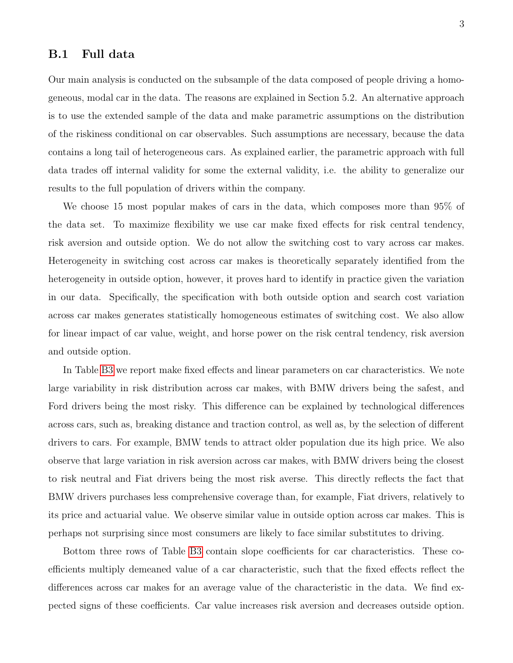#### B.1 Full data

Our main analysis is conducted on the subsample of the data composed of people driving a homogeneous, modal car in the data. The reasons are explained in Section 5.2. An alternative approach is to use the extended sample of the data and make parametric assumptions on the distribution of the riskiness conditional on car observables. Such assumptions are necessary, because the data contains a long tail of heterogeneous cars. As explained earlier, the parametric approach with full data trades off internal validity for some the external validity, i.e. the ability to generalize our results to the full population of drivers within the company.

We choose 15 most popular makes of cars in the data, which composes more than 95% of the data set. To maximize flexibility we use car make fixed effects for risk central tendency, risk aversion and outside option. We do not allow the switching cost to vary across car makes. Heterogeneity in switching cost across car makes is theoretically separately identified from the heterogeneity in outside option, however, it proves hard to identify in practice given the variation in our data. Specifically, the specification with both outside option and search cost variation across car makes generates statistically homogeneous estimates of switching cost. We also allow for linear impact of car value, weight, and horse power on the risk central tendency, risk aversion and outside option.

In Table [B3](#page-7-0) we report make fixed effects and linear parameters on car characteristics. We note large variability in risk distribution across car makes, with BMW drivers being the safest, and Ford drivers being the most risky. This difference can be explained by technological differences across cars, such as, breaking distance and traction control, as well as, by the selection of different drivers to cars. For example, BMW tends to attract older population due its high price. We also observe that large variation in risk aversion across car makes, with BMW drivers being the closest to risk neutral and Fiat drivers being the most risk averse. This directly reflects the fact that BMW drivers purchases less comprehensive coverage than, for example, Fiat drivers, relatively to its price and actuarial value. We observe similar value in outside option across car makes. This is perhaps not surprising since most consumers are likely to face similar substitutes to driving.

Bottom three rows of Table [B3](#page-7-0) contain slope coefficients for car characteristics. These coefficients multiply demeaned value of a car characteristic, such that the fixed effects reflect the differences across car makes for an average value of the characteristic in the data. We find expected signs of these coefficients. Car value increases risk aversion and decreases outside option.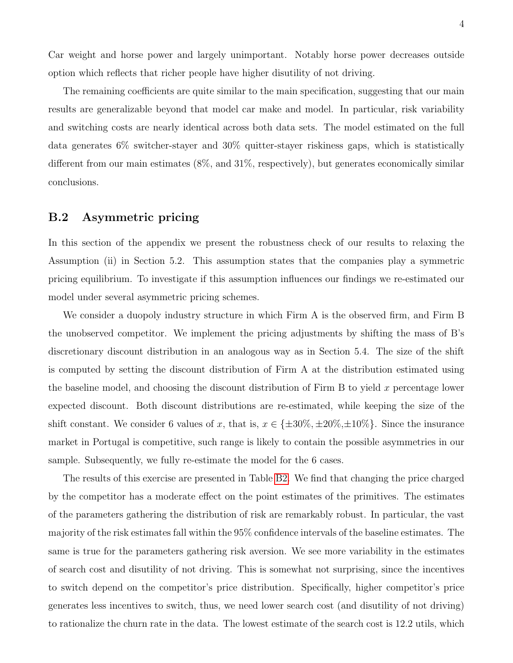Car weight and horse power and largely unimportant. Notably horse power decreases outside option which reflects that richer people have higher disutility of not driving.

The remaining coefficients are quite similar to the main specification, suggesting that our main results are generalizable beyond that model car make and model. In particular, risk variability and switching costs are nearly identical across both data sets. The model estimated on the full data generates 6% switcher-stayer and 30% quitter-stayer riskiness gaps, which is statistically different from our main estimates (8%, and 31%, respectively), but generates economically similar conclusions.

#### B.2 Asymmetric pricing

In this section of the appendix we present the robustness check of our results to relaxing the Assumption (ii) in Section 5.2. This assumption states that the companies play a symmetric pricing equilibrium. To investigate if this assumption influences our findings we re-estimated our model under several asymmetric pricing schemes.

We consider a duopoly industry structure in which Firm A is the observed firm, and Firm B the unobserved competitor. We implement the pricing adjustments by shifting the mass of B's discretionary discount distribution in an analogous way as in Section 5.4. The size of the shift is computed by setting the discount distribution of Firm A at the distribution estimated using the baseline model, and choosing the discount distribution of Firm  $B$  to yield x percentage lower expected discount. Both discount distributions are re-estimated, while keeping the size of the shift constant. We consider 6 values of x, that is,  $x \in \{\pm 30\%, \pm 20\%, \pm 10\%\}$ . Since the insurance market in Portugal is competitive, such range is likely to contain the possible asymmetries in our sample. Subsequently, we fully re-estimate the model for the 6 cases.

The results of this exercise are presented in Table [B2.](#page-6-0) We find that changing the price charged by the competitor has a moderate effect on the point estimates of the primitives. The estimates of the parameters gathering the distribution of risk are remarkably robust. In particular, the vast majority of the risk estimates fall within the 95% confidence intervals of the baseline estimates. The same is true for the parameters gathering risk aversion. We see more variability in the estimates of search cost and disutility of not driving. This is somewhat not surprising, since the incentives to switch depend on the competitor's price distribution. Specifically, higher competitor's price generates less incentives to switch, thus, we need lower search cost (and disutility of not driving) to rationalize the churn rate in the data. The lowest estimate of the search cost is 12.2 utils, which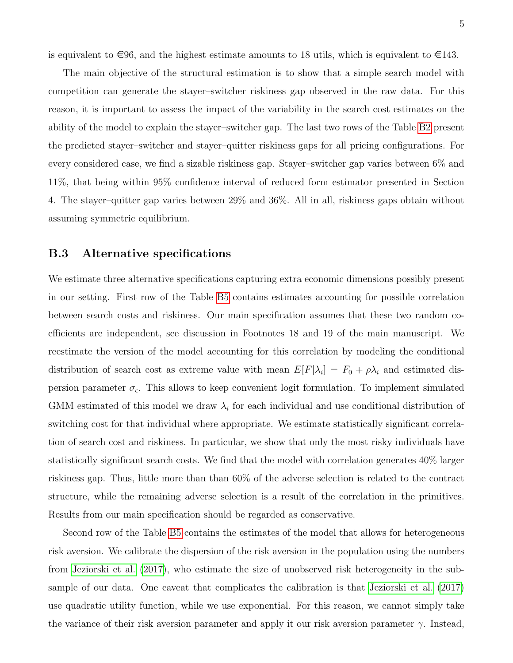is equivalent to  $\in \{96, \text{ and the highest estimate amounts to 18, which is equivalent to } \in \{143.$ 

The main objective of the structural estimation is to show that a simple search model with competition can generate the stayer–switcher riskiness gap observed in the raw data. For this reason, it is important to assess the impact of the variability in the search cost estimates on the ability of the model to explain the stayer–switcher gap. The last two rows of the Table [B2](#page-6-0) present the predicted stayer–switcher and stayer–quitter riskiness gaps for all pricing configurations. For every considered case, we find a sizable riskiness gap. Stayer–switcher gap varies between 6% and 11%, that being within 95% confidence interval of reduced form estimator presented in Section 4. The stayer–quitter gap varies between 29% and 36%. All in all, riskiness gaps obtain without assuming symmetric equilibrium.

#### B.3 Alternative specifications

We estimate three alternative specifications capturing extra economic dimensions possibly present in our setting. First row of the Table [B5](#page-9-0) contains estimates accounting for possible correlation between search costs and riskiness. Our main specification assumes that these two random coefficients are independent, see discussion in Footnotes 18 and 19 of the main manuscript. We reestimate the version of the model accounting for this correlation by modeling the conditional distribution of search cost as extreme value with mean  $E[F|\lambda_i] = F_0 + \rho \lambda_i$  and estimated dispersion parameter  $\sigma_{\epsilon}$ . This allows to keep convenient logit formulation. To implement simulated GMM estimated of this model we draw  $\lambda_i$  for each individual and use conditional distribution of switching cost for that individual where appropriate. We estimate statistically significant correlation of search cost and riskiness. In particular, we show that only the most risky individuals have statistically significant search costs. We find that the model with correlation generates 40% larger riskiness gap. Thus, little more than than 60% of the adverse selection is related to the contract structure, while the remaining adverse selection is a result of the correlation in the primitives. Results from our main specification should be regarded as conservative.

Second row of the Table [B5](#page-9-0) contains the estimates of the model that allows for heterogeneous risk aversion. We calibrate the dispersion of the risk aversion in the population using the numbers from [Jeziorski et al.](#page-10-0) [\(2017\)](#page-10-0), who estimate the size of unobserved risk heterogeneity in the subsample of our data. One caveat that complicates the calibration is that [Jeziorski et al.](#page-10-0) [\(2017\)](#page-10-0) use quadratic utility function, while we use exponential. For this reason, we cannot simply take the variance of their risk aversion parameter and apply it our risk aversion parameter  $\gamma$ . Instead,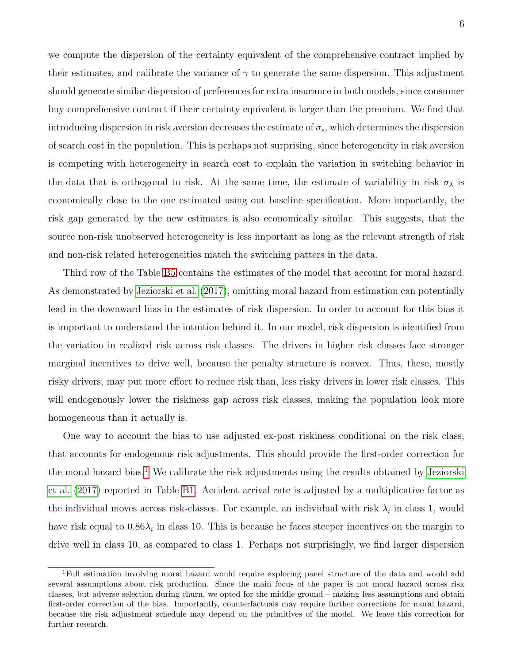we compute the dispersion of the certainty equivalent of the comprehensive contract implied by their estimates, and calibrate the variance of  $\gamma$  to generate the same dispersion. This adjustment should generate similar dispersion of preferences for extra insurance in both models, since consumer buy comprehensive contract if their certainty equivalent is larger than the premium. We find that introducing dispersion in risk aversion decreases the estimate of  $\sigma_{\epsilon}$ , which determines the dispersion of search cost in the population. This is perhaps not surprising, since heterogeneity in risk aversion is competing with heterogeneity in search cost to explain the variation in switching behavior in the data that is orthogonal to risk. At the same time, the estimate of variability in risk  $\sigma_{\lambda}$  is economically close to the one estimated using out baseline specification. More importantly, the risk gap generated by the new estimates is also economically similar. This suggests, that the source non-risk unobserved heterogeneity is less important as long as the relevant strength of risk and non-risk related heterogeneities match the switching patters in the data.

Third row of the Table [B5](#page-9-0) contains the estimates of the model that account for moral hazard. As demonstrated by [Jeziorski et al.](#page-10-0) [\(2017\)](#page-10-0), omitting moral hazard from estimation can potentially lead in the downward bias in the estimates of risk dispersion. In order to account for this bias it is important to understand the intuition behind it. In our model, risk dispersion is identified from the variation in realized risk across risk classes. The drivers in higher risk classes face stronger marginal incentives to drive well, because the penalty structure is convex. Thus, these, mostly risky drivers, may put more effort to reduce risk than, less risky drivers in lower risk classes. This will endogenously lower the riskiness gap across risk classes, making the population look more homogeneous than it actually is.

One way to account the bias to use adjusted ex-post riskiness conditional on the risk class, that accounts for endogenous risk adjustments. This should provide the first-order correction for the moral hazard bias.<sup>[1](#page-5-0)</sup> We calibrate the risk adjustments using the results obtained by [Jeziorski](#page-10-0) [et al.](#page-10-0) [\(2017\)](#page-10-0) reported in Table [B1.](#page-6-1) Accident arrival rate is adjusted by a multiplicative factor as the individual moves across risk-classes. For example, an individual with risk  $\lambda_i$  in class 1, would have risk equal to  $0.86\lambda_i$  in class 10. This is because he faces steeper incentives on the margin to drive well in class 10, as compared to class 1. Perhaps not surprisingly, we find larger dispersion

<span id="page-5-0"></span><sup>1</sup>Full estimation involving moral hazard would require exploring panel structure of the data and would add several assumptions about risk production. Since the main focus of the paper is not moral hazard across risk classes, but adverse selection during churn, we opted for the middle ground – making less assumptions and obtain first-order correction of the bias. Importantly, counterfactuals may require further corrections for moral hazard, because the risk adjustment schedule may depend on the primitives of the model. We leave this correction for further research.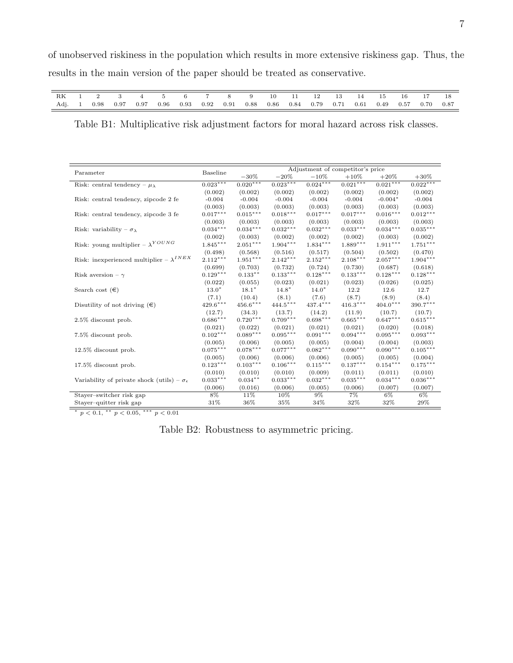| RK 1 2 3 4 5 6 7 8 9 10 11 12 13 14 15 16 17 18                                             |  |  |  |  |  |  |  |  |  |
|---------------------------------------------------------------------------------------------|--|--|--|--|--|--|--|--|--|
| Adj. 1 0.98 0.97 0.97 0.96 0.93 0.92 0.91 0.88 0.86 0.84 0.79 0.71 0.61 0.49 0.57 0.70 0.87 |  |  |  |  |  |  |  |  |  |

<span id="page-6-1"></span>Table B1: Multiplicative risk adjustment factors for moral hazard across risk classes.

|                                                            |                        | Adjustment of competitor's price |                 |                        |                        |                        |                        |  |
|------------------------------------------------------------|------------------------|----------------------------------|-----------------|------------------------|------------------------|------------------------|------------------------|--|
| Parameter                                                  | Baseline               | $-30\%$                          | $-20%$          | $-10%$                 | $+10%$                 | $+20%$                 | $+30\%$                |  |
| Risk: central tendency – $\mu_{\lambda}$                   | $0.023***$             | $0.020***$                       | $0.023***$      | $0.024***$             | $0.021***$             | $0.021***$             | $0.022***$             |  |
|                                                            | (0.002)                | (0.002)                          | (0.002)         | (0.002)                | (0.002)                | (0.002)                | (0.002)                |  |
| Risk: central tendency, zipcode 2 fe                       | $-0.004$               | $-0.004$                         | $-0.004$        | $-0.004$               | $-0.004$               | $-0.004*$              | $-0.004$               |  |
|                                                            | (0.003)                | (0.003)                          | (0.003)         | (0.003)                | (0.003)                | (0.003)                | (0.003)                |  |
| Risk: central tendency, zipcode 3 fe                       | $0.017^{***}\;$        | $0.015^{***}\,$                  | $0.018^{***}\;$ | $0.017^{***}\;$        | $0.017^{\ast\ast\ast}$ | $0.016^{\ast\ast\ast}$ | $0.012^{\ast\ast\ast}$ |  |
|                                                            | (0.003)                | (0.003)                          | (0.003)         | (0.003)                | (0.003)                | (0.003)                | (0.003)                |  |
| Risk: variability – $\sigma_{\lambda}$                     | $0.034***$             | $0.034***$                       | $0.032***$      | $0.032***$             | $0.033^{***}\;$        | $0.034***$             | $0.035***$             |  |
|                                                            | (0.002)                | (0.003)                          | (0.002)         | (0.002)                | (0.002)                | (0.003)                | (0.002)                |  |
| Risk: young multiplier – $\lambda^{YOUNG}$                 | $1.845***$             | $2.051***$                       | $1.904^{***}\;$ | $1.834***$             | $1.889***$             | $1.911***$             | $1.751^{\ast\ast\ast}$ |  |
|                                                            | (0.498)                | (0.568)                          | (0.516)         | (0.517)                | (0.504)                | (0.502)                | (0.470)                |  |
| Risk: in<br>experienced multiplier – $\lambda^{INEX}$      | $2.112***$             | $1.951***$                       | $2.142***$      | $2.152***$             | $2.108***$             | $2.057***$             | $1.904^{\ast\ast\ast}$ |  |
|                                                            | (0.699)                | (0.703)                          | (0.732)         | (0.724)                | (0.730)                | (0.687)                | (0.618)                |  |
| Risk aversion – $\gamma$                                   | $0.129^{\ast\ast\ast}$ | $0.133**$                        | $0.133***$      | $0.128***$             | $0.133***$             | $0.128***$             | $0.128***$             |  |
|                                                            | (0.022)                | (0.055)                          | (0.023)         | (0.021)                | (0.023)                | (0.026)                | (0.025)                |  |
| Search cost $(\epsilon)$                                   | $13.0*$                | $18.1*$                          | $14.8*$         | $14.0*$                | 12.2                   | 12.6                   | 12.7                   |  |
|                                                            | (7.1)                  | (10.4)                           | (8.1)           | (7.6)                  | (8.7)                  | (8.9)                  | (8.4)                  |  |
| Disutility of not driving $(\epsilon)$                     | $429.6^{\ast\ast\ast}$ | $456.6***$                       | $444.5***$      | $437.4***$             | $416.3***$             | $404.0***$             | $390.7^{\ast\ast\ast}$ |  |
|                                                            | (12.7)                 | (34.3)                           | (13.7)          | (14.2)                 | (11.9)                 | (10.7)                 | (10.7)                 |  |
| $2.5\%$ discount prob.                                     | $0.686^{\ast\ast\ast}$ | $0.720^{***}\,$                  | $0.709***$      | $0.698***$             | $0.665***$             | $0.647***$             | $0.615^{\ast\ast\ast}$ |  |
|                                                            | (0.021)                | (0.022)                          | (0.021)         | (0.021)                | (0.021)                | (0.020)                | (0.018)                |  |
| 7.5% discount prob.                                        | $0.102***$             | $0.089***$                       | $0.095***$      | $0.091***$             | $0.094***$             | $0.095***$             | $0.093***$             |  |
|                                                            | (0.005)                | (0.006)                          | (0.005)         | (0.005)                | (0.004)                | (0.004)                | (0.003)                |  |
| 12.5% discount prob.                                       | $0.075^{***}\;$        | $0.078***$                       | $0.077^{***}\;$ | $0.082***$             | $0.090***$             | $0.090***$             | $0.105^{***}\;$        |  |
|                                                            | (0.005)                | (0.006)                          | (0.006)         | (0.006)                | (0.005)                | (0.005)                | (0.004)                |  |
| 17.5% discount prob.                                       | $0.123^{\ast\ast\ast}$ | $0.103***$                       | $0.106***$      | $0.115^{\ast\ast\ast}$ | $0.137***$             | $0.154***$             | $0.175^{\ast\ast\ast}$ |  |
|                                                            | (0.010)                | (0.010)                          | (0.010)         | (0.009)                | (0.011)                | (0.011)                | (0.010)                |  |
| Variability of private shock (utils) – $\sigma_{\epsilon}$ | $0.033***$             | $0.034**$                        | $0.033***$      | $0.032***$             | $0.035***$             | $0.034***$             | $0.036***$             |  |
|                                                            | (0.006)                | (0.016)                          | (0.006)         | (0.005)                | (0.006)                | (0.007)                | (0.007)                |  |
| Stayer-switcher risk gap                                   | 8%                     | 11%                              | 10%             | 9%                     | $7\%$                  | 6%                     | 6%                     |  |
| Stayer-quitter risk gap                                    | 31%                    | 36%                              | 35%             | 34%                    | 32%                    | 32%                    | 29%                    |  |

\*  $p < 0.1$ , \*\*  $p < 0.05$ , \*\*\*  $p < 0.01$ 

<span id="page-6-0"></span>Table B2: Robustness to asymmetric pricing.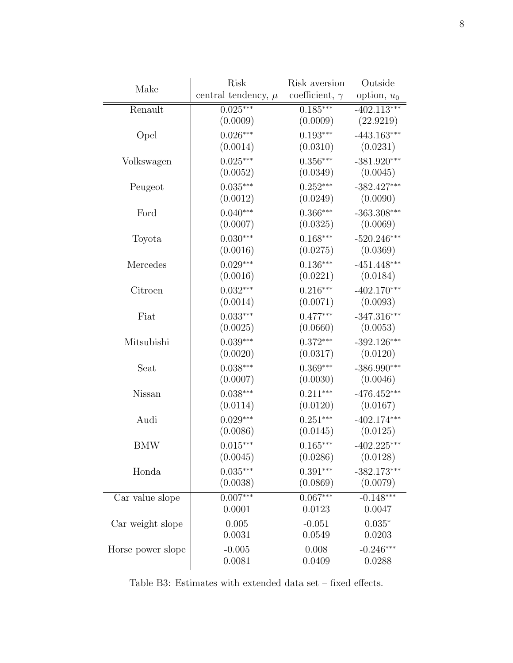| Make              | Risk                    | Risk aversion         | Outside       |  |
|-------------------|-------------------------|-----------------------|---------------|--|
|                   | central tendency, $\mu$ | coefficient, $\gamma$ | option, $u_0$ |  |
| Renault           | $0.025***$              | $0.185***$            | $-402.113***$ |  |
|                   | (0.0009)                | (0.0009)              | (22.9219)     |  |
| Opel              | $0.026***$              | $0.193***$            | $-443.163***$ |  |
|                   | (0.0014)                | (0.0310)              | (0.0231)      |  |
| Volkswagen        | $0.025***$              | $0.356***$            | $-381.920***$ |  |
|                   | (0.0052)                | (0.0349)              | (0.0045)      |  |
| Peugeot           | $0.035***$              | $0.252***$            | $-382.427***$ |  |
|                   | (0.0012)                | (0.0249)              | (0.0090)      |  |
| Ford              | $0.040***$              | $0.366***$            | $-363.308***$ |  |
|                   | (0.0007)                | (0.0325)              | (0.0069)      |  |
| Toyota            | $0.030***$              | $0.168***$            | $-520.246***$ |  |
|                   | (0.0016)                | (0.0275)              | (0.0369)      |  |
| Mercedes          | $0.029***$              | $0.136***$            | $-451.448***$ |  |
|                   | (0.0016)                | (0.0221)              | (0.0184)      |  |
| Citroen           | $0.032***$              | $0.216***$            | $-402.170***$ |  |
|                   | (0.0014)                | (0.0071)              | (0.0093)      |  |
| Fiat              | $0.033***$              | $0.477***$            | $-347.316***$ |  |
|                   | (0.0025)                | (0.0660)              | (0.0053)      |  |
| Mitsubishi        | $0.039***$              | $0.372***$            | $-392.126***$ |  |
|                   | (0.0020)                | (0.0317)              | (0.0120)      |  |
| Seat              | $0.038***$              | $0.369***$            | $-386.990***$ |  |
|                   | (0.0007)                | (0.0030)              | (0.0046)      |  |
| Nissan            | $0.038***$              | $0.211***$            | $-476.452***$ |  |
|                   | (0.0114)                | (0.0120)              | (0.0167)      |  |
| Audi              | $0.029***$              | $0.251***$            | $-402.174***$ |  |
|                   | (0.0086)                | (0.0145)              | (0.0125)      |  |
| <b>BMW</b>        | $0.015***$              | $0.165***$            | $-402.225***$ |  |
|                   | (0.0045)                | (0.0286)              | (0.0128)      |  |
| Honda             | $0.035***$              | $0.391***$            | $-382.173***$ |  |
|                   | (0.0038)                | (0.0869)              | (0.0079)      |  |
| Car value slope   | $0.007***$              | $0.067***$            | $-0.148***$   |  |
|                   | 0.0001                  | 0.0123                | 0.0047        |  |
| Car weight slope  | 0.005                   | $-0.051$              | $0.035*$      |  |
|                   | 0.0031                  | 0.0549                | 0.0203        |  |
| Horse power slope | $-0.005$                | 0.008                 | $-0.246***$   |  |
|                   | 0.0081                  | 0.0409                | 0.0288        |  |
|                   |                         |                       |               |  |

<span id="page-7-0"></span>Table B3: Estimates with extended data set – fixed effects.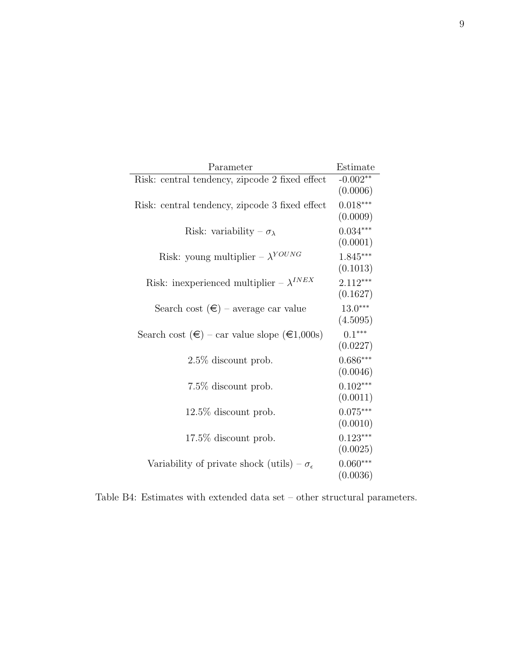| Parameter                                                      | Estimate               |
|----------------------------------------------------------------|------------------------|
| Risk: central tendency, zipcode 2 fixed effect                 | $-0.002**$<br>(0.0006) |
| Risk: central tendency, zipcode 3 fixed effect                 | $0.018***$<br>(0.0009) |
| Risk: variability – $\sigma_{\lambda}$                         | $0.034***$<br>(0.0001) |
| Risk: young multiplier – $\lambda^{YOUNG}$                     | $1.845***$<br>(0.1013) |
| Risk: inexperienced multiplier – $\lambda^{INEX}$              | $2.112***$<br>(0.1627) |
| Search cost $(\epsilon)$ – average car value                   | $13.0***$<br>(4.5095)  |
| Search cost $(\epsilon)$ – car value slope $(\epsilon 1,000s)$ | $0.1***$<br>(0.0227)   |
| $2.5\%$ discount prob.                                         | $0.686***$<br>(0.0046) |
| 7.5\% discount prob.                                           | $0.102***$<br>(0.0011) |
| $12.5\%$ discount prob.                                        | $0.075***$<br>(0.0010) |
| $17.5\%$ discount prob.                                        | $0.123***$<br>(0.0025) |
| Variability of private shock (utils) – $\sigma_{\epsilon}$     | $0.060***$<br>(0.0036) |

Table B4: Estimates with extended data set – other structural parameters.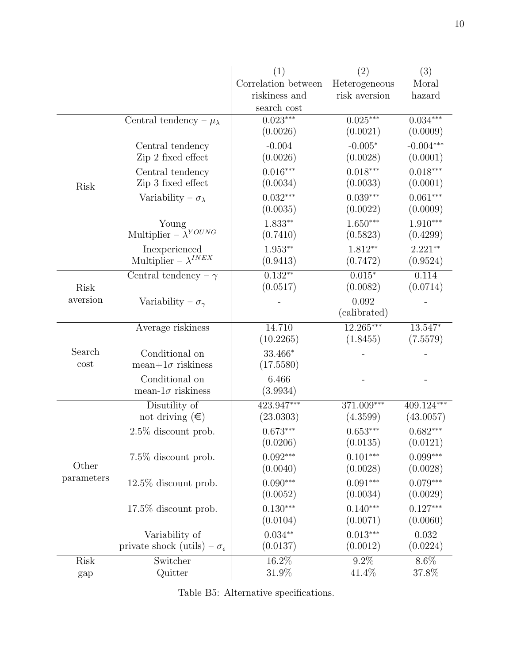|             |                                             | (1)                 | (2)           | (3)         |  |
|-------------|---------------------------------------------|---------------------|---------------|-------------|--|
|             |                                             | Correlation between | Heterogeneous | Moral       |  |
|             |                                             | riskiness and       | risk aversion | hazard      |  |
|             |                                             | search cost         |               |             |  |
|             | Central tendency – $\mu_{\lambda}$          | $0.023***$          | $0.025***$    | $0.034***$  |  |
|             |                                             | (0.0026)            | (0.0021)      | (0.0009)    |  |
|             | Central tendency                            | $-0.004$            | $-0.005*$     | $-0.004***$ |  |
|             | Zip 2 fixed effect                          | (0.0026)            | (0.0028)      | (0.0001)    |  |
| Risk        | Central tendency                            | $0.016***$          | $0.018***$    | $0.018***$  |  |
|             | Zip 3 fixed effect                          | (0.0034)            | (0.0033)      | (0.0001)    |  |
|             | Variability – $\sigma_{\lambda}$            | $0.032***$          | $0.039***$    | $0.061***$  |  |
|             |                                             | (0.0035)            | (0.0022)      | (0.0009)    |  |
|             | Young                                       | $1.833**$           | $1.650***$    | $1.910***$  |  |
|             | Multiplier – $\bar{\lambda}^{YOUNG}$        | (0.7410)            | (0.5823)      | (0.4299)    |  |
|             | Inexperienced                               | $1.953**$           | $1.812**$     | $2.221**$   |  |
|             | Multiplier – $\lambda^{INEX}$               | (0.9413)            | (0.7472)      | (0.9524)    |  |
|             | Central tendency – $\gamma$                 | $0.132**$           | $0.015*$      | 0.114       |  |
| <b>Risk</b> |                                             | (0.0517)            | (0.0082)      | (0.0714)    |  |
| aversion    | Variability – $\sigma_{\gamma}$             |                     | 0.092         |             |  |
|             |                                             |                     | (calibrated)  |             |  |
|             | Average riskiness                           | 14.710              | $12.265***$   | 13.547*     |  |
|             |                                             | (10.2265)           | (1.8455)      | (7.5579)    |  |
| Search      | Conditional on                              | 33.466*             |               |             |  |
| cost        | mean+ $1\sigma$ riskiness                   | (17.5580)           |               |             |  |
|             | Conditional on                              | 6.466               |               |             |  |
|             | mean- $1\sigma$ riskiness                   | (3.9934)            |               |             |  |
|             | Disutility of                               | 423.947***          | 371.009***    | 409.124***  |  |
|             | not driving $(\epsilon)$                    | (23.0303)           | (4.3599)      | (43.0057)   |  |
|             | $2.5\%$ discount prob.                      | $0.673***$          | $0.653***$    | $0.682***$  |  |
|             |                                             | (0.0206)            | (0.0135)      | (0.0121)    |  |
|             | 7.5\% discount prob.                        | $0.092***$          | $0.101***$    | $0.099***$  |  |
| Other       |                                             | (0.0040)            | (0.0028)      | (0.0028)    |  |
| parameters  | $12.5\%$ discount prob.                     | $0.090***$          | $0.091***$    | $0.079***$  |  |
|             |                                             | (0.0052)            | (0.0034)      | (0.0029)    |  |
|             | $17.5\%$ discount prob.                     | $0.130***$          | $0.140***$    | $0.127***$  |  |
|             |                                             | (0.0104)            | (0.0071)      | (0.0060)    |  |
|             | Variability of                              | $0.034**$           | $0.013***$    | 0.032       |  |
|             | private shock (utils) – $\sigma_{\epsilon}$ | (0.0137)            | (0.0012)      | (0.0224)    |  |
| Risk        | Switcher                                    | 16.2%               | $9.2\%$       | $8.6\%$     |  |
| gap         | Quitter                                     | 31.9%               | 41.4%         | 37.8%       |  |

<span id="page-9-0"></span>Table B5: Alternative specifications.